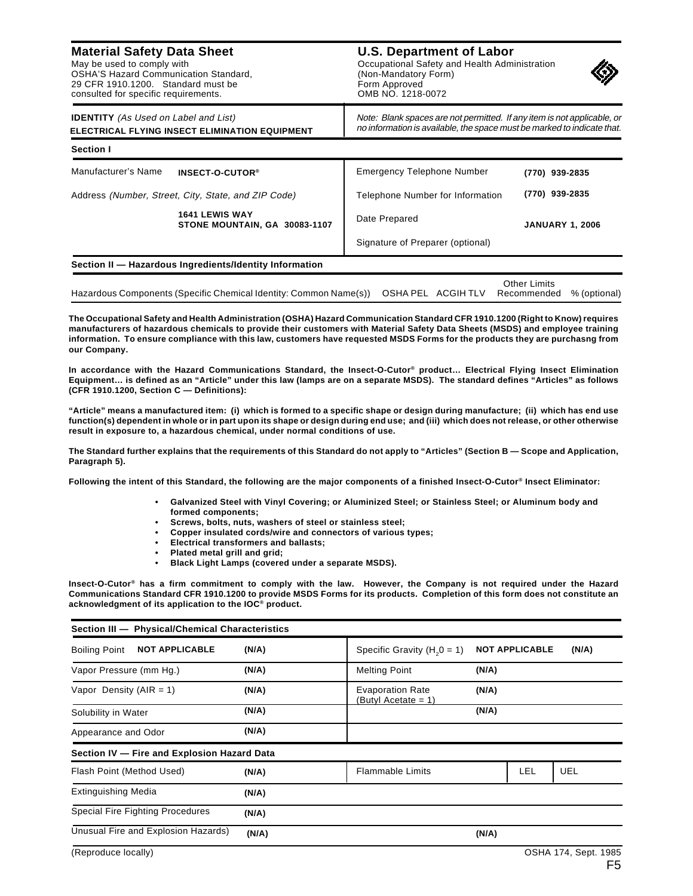## **Material Safety Data Sheet**

May be used to comply with OSHA'S Hazard Communication Standard, 29 CFR 1910.1200. Standard must be consulted for specific requirements.

## **U.S. Department of Labor** Occupational Safety and Health Administration (Non-Mandatory Form) Form Approved OMB NO. 1218-0072



| <b>IDENTITY</b> (As Used on Label and List)                                                                   | ELECTRICAL FLYING INSECT ELIMINATION EQUIPMENT                    | Note: Blank spaces are not permitted. If any item is not applicable, or<br>no information is available, the space must be marked to indicate that. |                                             |  |  |
|---------------------------------------------------------------------------------------------------------------|-------------------------------------------------------------------|----------------------------------------------------------------------------------------------------------------------------------------------------|---------------------------------------------|--|--|
| <b>Section I</b>                                                                                              |                                                                   |                                                                                                                                                    |                                             |  |  |
| Manufacturer's Name                                                                                           | INSECT-O-CUTOR <sup>®</sup>                                       | Emergency Telephone Number                                                                                                                         | (770) 939-2835                              |  |  |
| Address (Number, Street, City, State, and ZIP Code)<br><b>1641 LEWIS WAY</b><br>STONE MOUNTAIN, GA 30083-1107 |                                                                   | Telephone Number for Information                                                                                                                   | (770) 939-2835                              |  |  |
|                                                                                                               |                                                                   | Date Prepared                                                                                                                                      | <b>JANUARY 1, 2006</b>                      |  |  |
|                                                                                                               |                                                                   | Signature of Preparer (optional)                                                                                                                   |                                             |  |  |
|                                                                                                               | Section II - Hazardous Ingredients/Identity Information           |                                                                                                                                                    |                                             |  |  |
|                                                                                                               | Hazardous Components (Specific Chemical Identity: Common Name(s)) | OSHA PEL<br><b>ACGIHTLV</b>                                                                                                                        | Other Limits<br>% (optional)<br>Recommended |  |  |

**The Occupational Safety and Health Administration (OSHA) Hazard Communication Standard CFR 1910.1200 (Right to Know) requires manufacturers of hazardous chemicals to provide their customers with Material Safety Data Sheets (MSDS) and employee training information. To ensure compliance with this law, customers have requested MSDS Forms for the products they are purchasng from our Company.**

**In accordance with the Hazard Communications Standard, the Insect-O-Cutor® product… Electrical Flying Insect Elimination Equipment… is defined as an "Article" under this law (lamps are on a separate MSDS). The standard defines "Articles" as follows (CFR 1910.1200, Section C — Definitions):**

**"Article" means a manufactured item: (i) which is formed to a specific shape or design during manufacture; (ii) which has end use function(s) dependent in whole or in part upon its shape or design during end use; and (iii) which does not release, or other otherwise result in exposure to, a hazardous chemical, under normal conditions of use.**

**The Standard further explains that the requirements of this Standard do not apply to "Articles" (Section B — Scope and Application, Paragraph 5).**

**Following the intent of this Standard, the following are the major components of a finished Insect-O-Cutor® Insect Eliminator:**

- **Galvanized Steel with Vinyl Covering; or Aluminized Steel; or Stainless Steel; or Aluminum body and formed components;**
- **Screws, bolts, nuts, washers of steel or stainless steel;**
- **Copper insulated cords/wire and connectors of various types;**
- **Electrical transformers and ballasts;**
- **Plated metal grill and grid;**
- **Black Light Lamps (covered under a separate MSDS).**

**Insect-O-Cutor® has a firm commitment to comply with the law. However, the Company is not required under the Hazard Communications Standard CFR 1910.1200 to provide MSDS Forms for its products. Completion of this form does not constitute an acknowledgment of its application to the IOC® product.**

| Section III - Physical/Chemical Characteristics |       |                                                |                                |  |                      |  |
|-------------------------------------------------|-------|------------------------------------------------|--------------------------------|--|----------------------|--|
| <b>NOT APPLICABLE</b><br><b>Boiling Point</b>   | (N/A) | Specific Gravity ( $H20 = 1$ )                 | <b>NOT APPLICABLE</b><br>(N/A) |  |                      |  |
| Vapor Pressure (mm Hg.)                         | (N/A) | <b>Melting Point</b>                           | (N/A)                          |  |                      |  |
| Vapor Density (AIR = 1)                         | (N/A) | <b>Evaporation Rate</b><br>(Butyl Acetate = 1) | (N/A)                          |  |                      |  |
| Solubility in Water                             | (N/A) |                                                | (N/A)                          |  |                      |  |
| Appearance and Odor                             | (N/A) |                                                |                                |  |                      |  |
| Section IV - Fire and Explosion Hazard Data     |       |                                                |                                |  |                      |  |
| Flash Point (Method Used)                       | (N/A) | <b>Flammable Limits</b>                        |                                |  |                      |  |
| <b>Extinguishing Media</b>                      | (N/A) |                                                |                                |  |                      |  |
| Special Fire Fighting Procedures                | (N/A) |                                                |                                |  |                      |  |
| Unusual Fire and Explosion Hazards)             | (N/A) |                                                | (N/A)                          |  |                      |  |
| (Reproduce locally)                             |       |                                                |                                |  | OSHA 174, Sept. 1985 |  |